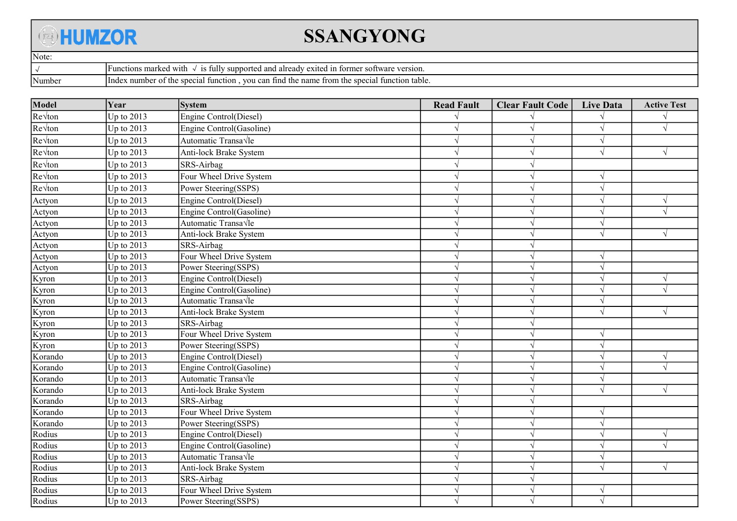## **BHUMZOR**

## SSANGYONG

| Note: |         |                                                                                                                                      |  |  |  |
|-------|---------|--------------------------------------------------------------------------------------------------------------------------------------|--|--|--|
|       |         | S11m <sub>r</sub><br>markeo<br>with<br>18 fully<br>$\sim$ 37.47<br>etions.<br>'orme<br>software<br>≅ version.<br>aiready<br>and      |  |  |  |
|       | 'Number | vou<br>tunction table.<br>the name<br>snect<br>number<br>function<br>specia<br>tind<br>Index<br>trom the<br>can<br>the<br>-01<br>лаг |  |  |  |

| Model                               | Year         | <b>System</b>            | <b>Read Fault</b>          | <b>Clear Fault Code</b> | <b>Live Data</b> | <b>Active Test</b> |
|-------------------------------------|--------------|--------------------------|----------------------------|-------------------------|------------------|--------------------|
| $Re\sqrt{ton}$                      | Up to $2013$ | Engine Control(Diesel)   |                            |                         |                  |                    |
| $\sqrt{\text{Re}}\sqrt{\text{ton}}$ | Up to $2013$ | Engine Control(Gasoline) |                            |                         |                  |                    |
| Re√ton                              | Up to $2013$ | Automatic Transa Vle     |                            | N                       | $\sqrt{}$        |                    |
| $Re\sqrt{ton}$                      | Up to $2013$ | Anti-lock Brake System   |                            | $\sqrt{ }$              | V                |                    |
| Re√ton                              | Up to $2013$ | SRS-Airbag               | $\mathcal{N}$              | $\sqrt{ }$              |                  |                    |
| Re√ton                              | Up to $2013$ | Four Wheel Drive System  |                            | $\sqrt{ }$              | $\sqrt{ }$       |                    |
| Re√ton                              | Up to $2013$ | Power Steering(SSPS)     |                            | $\sqrt{ }$              | V                |                    |
| Actyon                              | Up to $2013$ | Engine Control(Diesel)   | $\mathcal{N}$              | $\sqrt{ }$              | $\sqrt{ }$       |                    |
| Actyon                              | Up to $2013$ | Engine Control(Gasoline) |                            | $\gamma$                | V                |                    |
| Actyon                              | Up to $2013$ | Automatic Transa√le      |                            | $\mathcal{A}$           |                  |                    |
| Actyon                              | Up to $2013$ | Anti-lock Brake System   |                            | $\sqrt{ }$              |                  |                    |
| Actyon                              | Up to $2013$ | SRS-Airbag               |                            | $\sqrt{ }$              |                  |                    |
| Actyon                              | Up to $2013$ | Four Wheel Drive System  |                            | $\sqrt{ }$              |                  |                    |
| Actyon                              | Up to $2013$ | Power Steering(SSPS)     |                            | $\sqrt{ }$              | V                |                    |
| Kyron                               | Up to 2013   | Engine Control(Diesel)   |                            | $\sqrt{ }$              | V                |                    |
| Kyron                               | Up to $2013$ | Engine Control(Gasoline) |                            | $\sqrt{ }$              | V                |                    |
| Kyron                               | Up to $2013$ | Automatic Transa√le      |                            | $\sqrt{ }$              | V                |                    |
| Kyron                               | Up to $2013$ | Anti-lock Brake System   |                            | $\sqrt{ }$              | N                |                    |
| Kyron                               | Up to $2013$ | SRS-Airbag               |                            | $\sqrt{ }$              |                  |                    |
| Kyron                               | Up to $2013$ | Four Wheel Drive System  |                            | $\sqrt{ }$              | $\sqrt{ }$       |                    |
| Kyron                               | Up to $2013$ | Power Steering(SSPS)     |                            | $\sqrt{ }$              | V                |                    |
| Korando                             | Up to $2013$ | Engine Control(Diesel)   |                            | $\gamma$                | V                |                    |
| Korando                             | Up to $2013$ | Engine Control(Gasoline) |                            | $\gamma$                | V                |                    |
| Korando                             | Up to $2013$ | Automatic Transa√le      |                            | $\gamma$                | V                |                    |
| Korando                             | Up to $2013$ | Anti-lock Brake System   |                            | $\gamma$                | V                |                    |
| Korando                             | Up to $2013$ | SRS-Airbag               |                            | $\gamma$                |                  |                    |
| Korando                             | Up to $2013$ | Four Wheel Drive System  | $\boldsymbol{\mathcal{A}}$ | $\gamma$                | $\sqrt{}$        |                    |
| Korando                             | Up to $2013$ | Power Steering(SSPS)     |                            | $\gamma$                | V                |                    |
| Rodius                              | Up to 2013   | Engine Control(Diesel)   |                            | $\mathcal{L}$           | V                |                    |
| Rodius                              | Up to 2013   | Engine Control(Gasoline) |                            | $\gamma$                | V                |                    |
| Rodius                              | Up to 2013   | Automatic Transa√le      |                            | $\mathcal{A}$           | V                |                    |
| Rodius                              | Up to 2013   | Anti-lock Brake System   |                            |                         | V                |                    |
| Rodius                              | Up to 2013   | SRS-Airbag               |                            |                         |                  |                    |
| Rodius                              | Up to 2013   | Four Wheel Drive System  |                            |                         |                  |                    |
| Rodius                              | Up to 2013   | Power Steering(SSPS)     |                            |                         | ٦l               |                    |